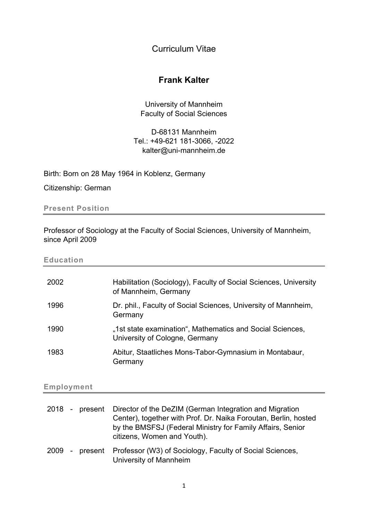Curriculum Vitae

# Frank Kalter

University of Mannheim Faculty of Social Sciences

D-68131 Mannheim Tel.: +49-621 181-3066, -2022 kalter@uni-mannheim.de

Birth: Born on 28 May 1964 in Koblenz, Germany

Citizenship: German

Present Position

Professor of Sociology at the Faculty of Social Sciences, University of Mannheim, since April 2009

Education

| 2002 | Habilitation (Sociology), Faculty of Social Sciences, University<br>of Mannheim, Germany    |
|------|---------------------------------------------------------------------------------------------|
| 1996 | Dr. phil., Faculty of Social Sciences, University of Mannheim,<br>Germany                   |
| 1990 | "1st state examination", Mathematics and Social Sciences,<br>University of Cologne, Germany |
| 1983 | Abitur, Staatliches Mons-Tabor-Gymnasium in Montabaur,<br>Germany                           |

## Employment

|  | 2018 - present Director of the DeZIM (German Integration and Migration<br>Center), together with Prof. Dr. Naika Foroutan, Berlin, hosted<br>by the BMSFSJ (Federal Ministry for Family Affairs, Senior<br>citizens, Women and Youth). |
|--|----------------------------------------------------------------------------------------------------------------------------------------------------------------------------------------------------------------------------------------|
|  | 2009 - present Professor (W3) of Sociology, Faculty of Social Sciences,<br>University of Mannheim                                                                                                                                      |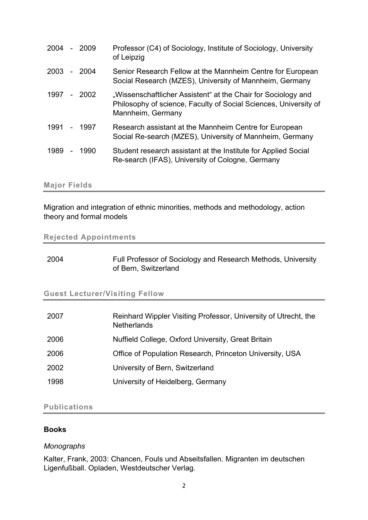| 2004 |                | - 2009  | Professor (C4) of Sociology, Institute of Sociology, University<br>of Leipzig                                                                          |
|------|----------------|---------|--------------------------------------------------------------------------------------------------------------------------------------------------------|
| 2003 |                | $-2004$ | Senior Research Fellow at the Mannheim Centre for European<br>Social Research (MZES), University of Mannheim, Germany                                  |
| 1997 |                | - 2002  | "Wissenschaftlicher Assistent" at the Chair for Sociology and<br>Philosophy of science, Faculty of Social Sciences, University of<br>Mannheim, Germany |
| 1991 |                | - 1997  | Research assistant at the Mannheim Centre for European<br>Social Re-search (MZES), University of Mannheim, Germany                                     |
| 1989 | $\blacksquare$ | 1990    | Student research assistant at the Institute for Applied Social<br>Re-search (IFAS), University of Cologne, Germany                                     |

#### Major Fields

Migration and integration of ethnic minorities, methods and methodology, action theory and formal models

## Rejected Appointments

| 2004 | Full Professor of Sociology and Research Methods, University |
|------|--------------------------------------------------------------|
|      | of Bern, Switzerland                                         |

#### Guest Lecturer/Visiting Fellow

| 2007 | Reinhard Wippler Visiting Professor, University of Utrecht, the<br><b>Netherlands</b> |
|------|---------------------------------------------------------------------------------------|
| 2006 | Nuffield College, Oxford University, Great Britain                                    |
| 2006 | Office of Population Research, Princeton University, USA                              |
| 2002 | University of Bern, Switzerland                                                       |
| 1998 | University of Heidelberg, Germany                                                     |

# Publications

## Books

#### Monographs

Kalter, Frank, 2003: Chancen, Fouls und Abseitsfallen. Migranten im deutschen Ligenfußball. Opladen, Westdeutscher Verlag.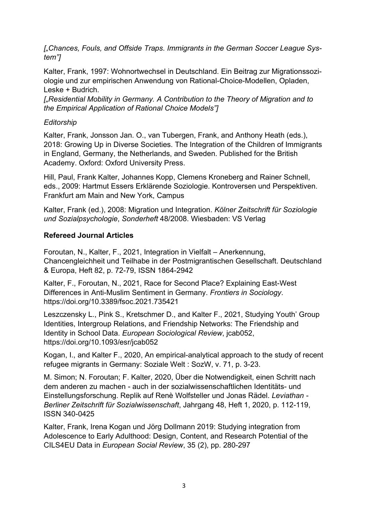["Chances, Fouls, and Offside Traps. Immigrants in the German Soccer League System"]

Kalter, Frank, 1997: Wohnortwechsel in Deutschland. Ein Beitrag zur Migrationssoziologie und zur empirischen Anwendung von Rational-Choice-Modellen, Opladen, Leske + Budrich.

["Residential Mobility in Germany. A Contribution to the Theory of Migration and to the Empirical Application of Rational Choice Models"]

# **Editorship**

Kalter, Frank, Jonsson Jan. O., van Tubergen, Frank, and Anthony Heath (eds.), 2018: Growing Up in Diverse Societies. The Integration of the Children of Immigrants in England, Germany, the Netherlands, and Sweden. Published for the British Academy. Oxford: Oxford University Press.

Hill, Paul, Frank Kalter, Johannes Kopp, Clemens Kroneberg and Rainer Schnell, eds., 2009: Hartmut Essers Erklärende Soziologie. Kontroversen und Perspektiven. Frankfurt am Main and New York, Campus

Kalter, Frank (ed.), 2008: Migration und Integration. Kölner Zeitschrift für Soziologie und Sozialpsychologie, Sonderheft 48/2008. Wiesbaden: VS Verlag

# Refereed Journal Articles

Foroutan, N., Kalter, F., 2021, Integration in Vielfalt – Anerkennung, Chancengleichheit und Teilhabe in der Postmigrantischen Gesellschaft. Deutschland & Europa, Heft 82, p. 72-79, ISSN 1864-2942

Kalter, F., Foroutan, N., 2021, Race for Second Place? Explaining East-West Differences in Anti-Muslim Sentiment in Germany. Frontiers in Sociology. https://doi.org/10.3389/fsoc.2021.735421

Leszczensky L., Pink S., Kretschmer D., and Kalter F., 2021, Studying Youth' Group Identities, Intergroup Relations, and Friendship Networks: The Friendship and Identity in School Data. European Sociological Review, jcab052, https://doi.org/10.1093/esr/jcab052

Kogan, I., and Kalter F., 2020, An empirical-analytical approach to the study of recent refugee migrants in Germany: Soziale Welt : SozW, v. 71, p. 3-23.

M. Simon; N. Foroutan; F. Kalter, 2020, Über die Notwendigkeit, einen Schritt nach dem anderen zu machen - auch in der sozialwissenschaftlichen Identitäts- und Einstellungsforschung. Replik auf Renè Wolfsteller und Jonas Rädel. Leviathan - Berliner Zeitschrift für Sozialwissenschaft, Jahrgang 48, Heft 1, 2020, p. 112-119, ISSN 340-0425

Kalter, Frank, Irena Kogan und Jörg Dollmann 2019: Studying integration from Adolescence to Early Adulthood: Design, Content, and Research Potential of the CILS4EU Data in European Social Review, 35 (2), pp. 280-297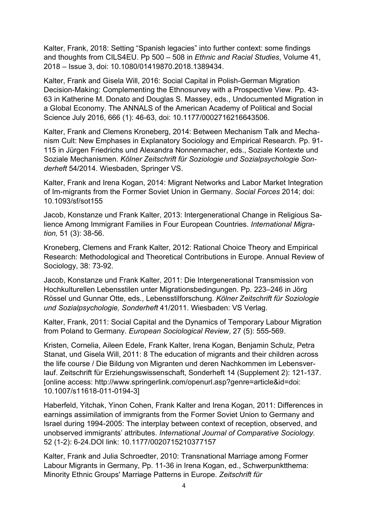Kalter, Frank, 2018: Setting "Spanish legacies" into further context: some findings and thoughts from CILS4EU. Pp 500 – 508 in Ethnic and Racial Studies, Volume 41, 2018 – Issue 3, doi: 10.1080/01419870.2018.1389434.

Kalter, Frank and Gisela Will, 2016: Social Capital in Polish-German Migration Decision-Making: Complementing the Ethnosurvey with a Prospective View. Pp. 43- 63 in Katherine M. Donato and Douglas S. Massey, eds., Undocumented Migration in a Global Economy. The ANNALS of the American Academy of Political and Social Science July 2016, 666 (1): 46-63, doi: 10.1177/0002716216643506.

Kalter, Frank and Clemens Kroneberg, 2014: Between Mechanism Talk and Mechanism Cult: New Emphases in Explanatory Sociology and Empirical Research. Pp. 91- 115 in Jürgen Friedrichs und Alexandra Nonnenmacher, eds., Soziale Kontexte und Soziale Mechanismen. Kölner Zeitschrift für Soziologie und Sozialpsychologie Sonderheft 54/2014. Wiesbaden, Springer VS.

Kalter, Frank and Irena Kogan, 2014: Migrant Networks and Labor Market Integration of Im-migrants from the Former Soviet Union in Germany. Social Forces 2014; doi: 10.1093/sf/sot155

Jacob, Konstanze und Frank Kalter, 2013: Intergenerational Change in Religious Salience Among Immigrant Families in Four European Countries. International Migration, 51 (3): 38-56.

Kroneberg, Clemens and Frank Kalter, 2012: Rational Choice Theory and Empirical Research: Methodological and Theoretical Contributions in Europe. Annual Review of Sociology, 38: 73-92.

Jacob, Konstanze und Frank Kalter, 2011: Die Intergenerational Transmission von Hochkulturellen Lebensstilen unter Migrationsbedingungen. Pp. 223–246 in Jörg Rössel und Gunnar Otte, eds., Lebensstilforschung. Kölner Zeitschrift für Soziologie und Sozialpsychologie, Sonderheft 41/2011. Wiesbaden: VS Verlag.

Kalter, Frank, 2011: Social Capital and the Dynamics of Temporary Labour Migration from Poland to Germany. European Sociological Review, 27 (5): 555-569.

Kristen, Cornelia, Aileen Edele, Frank Kalter, Irena Kogan, Benjamin Schulz, Petra Stanat, und Gisela Will, 2011: 8 The education of migrants and their children across the life course / Die Bildung von Migranten und deren Nachkommen im Lebensverlauf. Zeitschrift für Erziehungswissenschaft, Sonderheft 14 (Supplement 2): 121-137. [online access: http://www.springerlink.com/openurl.asp?genre=article&id=doi: 10.1007/s11618-011-0194-3]

Haberfeld, Yitchak, Yinon Cohen, Frank Kalter and Irena Kogan, 2011: Differences in earnings assimilation of immigrants from the Former Soviet Union to Germany and Israel during 1994-2005: The interplay between context of reception, observed, and unobserved immigrants' attributes. International Journal of Comparative Sociology. 52 (1-2): 6-24.DOI link: 10.1177/0020715210377157

Kalter, Frank and Julia Schroedter, 2010: Transnational Marriage among Former Labour Migrants in Germany, Pp. 11-36 in Irena Kogan, ed., Schwerpunktthema: Minority Ethnic Groups' Marriage Patterns in Europe. Zeitschrift für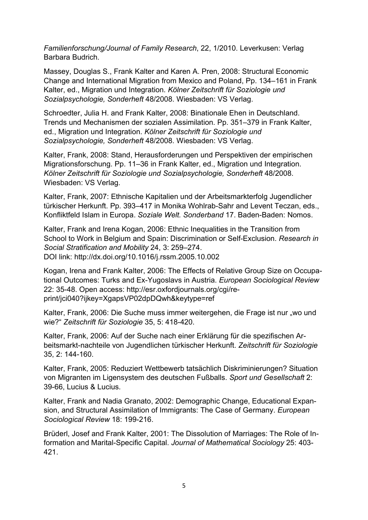Familienforschung/Journal of Family Research, 22, 1/2010. Leverkusen: Verlag Barbara Budrich.

Massey, Douglas S., Frank Kalter and Karen A. Pren, 2008: Structural Economic Change and International Migration from Mexico and Poland, Pp. 134–161 in Frank Kalter, ed., Migration und Integration. Kölner Zeitschrift für Soziologie und Sozialpsychologie, Sonderheft 48/2008. Wiesbaden: VS Verlag.

Schroedter, Julia H. and Frank Kalter, 2008: Binationale Ehen in Deutschland. Trends und Mechanismen der sozialen Assimilation. Pp. 351–379 in Frank Kalter, ed., Migration und Integration. Kölner Zeitschrift für Soziologie und Sozialpsychologie, Sonderheft 48/2008. Wiesbaden: VS Verlag.

Kalter, Frank, 2008: Stand, Herausforderungen und Perspektiven der empirischen Migrationsforschung. Pp. 11–36 in Frank Kalter, ed., Migration und Integration. Kölner Zeitschrift für Soziologie und Sozialpsychologie, Sonderheft 48/2008. Wiesbaden: VS Verlag.

Kalter, Frank, 2007: Ethnische Kapitalien und der Arbeitsmarkterfolg Jugendlicher türkischer Herkunft. Pp. 393–417 in Monika Wohlrab-Sahr and Levent Teczan, eds., Konfliktfeld Islam in Europa. Soziale Welt. Sonderband 17. Baden-Baden: Nomos.

Kalter, Frank and Irena Kogan, 2006: Ethnic Inequalities in the Transition from School to Work in Belgium and Spain: Discrimination or Self-Exclusion. Research in Social Stratification and Mobility 24, 3: 259–274. DOI link: http://dx.doi.org/10.1016/j.rssm.2005.10.002

Kogan, Irena and Frank Kalter, 2006: The Effects of Relative Group Size on Occupational Outcomes: Turks and Ex-Yugoslavs in Austria. European Sociological Review 22: 35-48. Open access: http://esr.oxfordjournals.org/cgi/reprint/jci040?ijkey=XgapsVP02dpDQwh&keytype=ref

Kalter, Frank, 2006: Die Suche muss immer weitergehen, die Frage ist nur "wo und wie?" Zeitschrift für Soziologie 35, 5: 418-420.

Kalter, Frank, 2006: Auf der Suche nach einer Erklärung für die spezifischen Arbeitsmarkt-nachteile von Jugendlichen türkischer Herkunft. Zeitschrift für Soziologie 35, 2: 144-160.

Kalter, Frank, 2005: Reduziert Wettbewerb tatsächlich Diskriminierungen? Situation von Migranten im Ligensystem des deutschen Fußballs. Sport und Gesellschaft 2: 39-66, Lucius & Lucius.

Kalter, Frank and Nadia Granato, 2002: Demographic Change, Educational Expansion, and Structural Assimilation of Immigrants: The Case of Germany. European Sociological Review 18: 199-216.

Brüderl, Josef and Frank Kalter, 2001: The Dissolution of Marriages: The Role of Information and Marital-Specific Capital. Journal of Mathematical Sociology 25: 403- 421.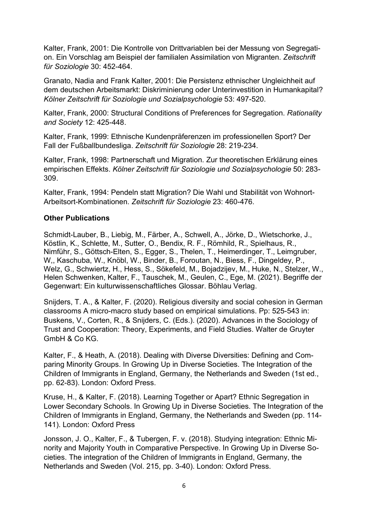Kalter, Frank, 2001: Die Kontrolle von Drittvariablen bei der Messung von Segregation. Ein Vorschlag am Beispiel der familialen Assimilation von Migranten. Zeitschrift für Soziologie 30: 452-464.

Granato, Nadia and Frank Kalter, 2001: Die Persistenz ethnischer Ungleichheit auf dem deutschen Arbeitsmarkt: Diskriminierung oder Unterinvestition in Humankapital? Kölner Zeitschrift für Soziologie und Sozialpsychologie 53: 497-520.

Kalter, Frank, 2000: Structural Conditions of Preferences for Segregation. Rationality and Society 12: 425-448.

Kalter, Frank, 1999: Ethnische Kundenpräferenzen im professionellen Sport? Der Fall der Fußballbundesliga. Zeitschrift für Soziologie 28: 219-234.

Kalter, Frank, 1998: Partnerschaft und Migration. Zur theoretischen Erklärung eines empirischen Effekts. Kölner Zeitschrift für Soziologie und Sozialpsychologie 50: 283- 309.

Kalter, Frank, 1994: Pendeln statt Migration? Die Wahl und Stabilität von Wohnort-Arbeitsort-Kombinationen. Zeitschrift für Soziologie 23: 460-476.

## Other Publications

Schmidt-Lauber, B., Liebig, M., Färber, A., Schwell, A., Jörke, D., Wietschorke, J., Köstlin, K., Schlette, M., Sutter, O., Bendix, R. F., Römhild, R., Spielhaus, R., Nimführ, S., Göttsch-Elten, S., Egger, S., Thelen, T., Heimerdinger, T., Leimgruber, W,, Kaschuba, W., Knöbl, W., Binder, B., Foroutan, N., Biess, F., Dingeldey, P., Welz, G., Schwiertz, H., Hess, S., Sökefeld, M., Bojadzijev, M., Huke, N., Stelzer, W., Helen Schwenken, Kalter, F., Tauschek, M., Geulen, C., Ege, M. (2021). Begriffe der Gegenwart: Ein kulturwissenschaftliches Glossar. Böhlau Verlag.

Snijders, T. A., & Kalter, F. (2020). Religious diversity and social cohesion in German classrooms A micro-macro study based on empirical simulations. Pp: 525-543 in: Buskens, V., Corten, R., & Snijders, C. (Eds.). (2020). Advances in the Sociology of Trust and Cooperation: Theory, Experiments, and Field Studies. Walter de Gruyter GmbH & Co KG.

Kalter, F., & Heath, A. (2018). Dealing with Diverse Diversities: Defining and Comparing Minority Groups. In Growing Up in Diverse Societies. The Integration of the Children of Immigrants in England, Germany, the Netherlands and Sweden (1st ed., pp. 62-83). London: Oxford Press.

Kruse, H., & Kalter, F. (2018). Learning Together or Apart? Ethnic Segregation in Lower Secondary Schools. In Growing Up in Diverse Societies. The Integration of the Children of Immigrants in England, Germany, the Netherlands and Sweden (pp. 114- 141). London: Oxford Press

Jonsson, J. O., Kalter, F., & Tubergen, F. v. (2018). Studying integration: Ethnic Minority and Majority Youth in Comparative Perspective. In Growing Up in Diverse Societies. The integration of the Children of Immigrants in England, Germany, the Netherlands and Sweden (Vol. 215, pp. 3-40). London: Oxford Press.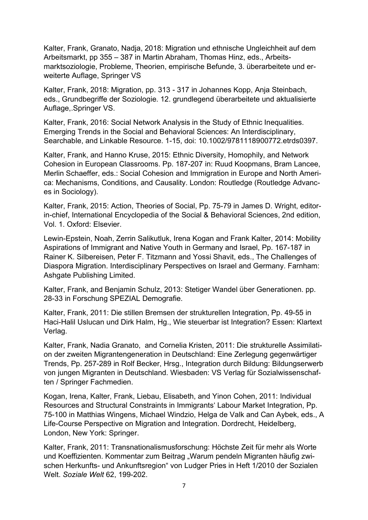Kalter, Frank, Granato, Nadja, 2018: Migration und ethnische Ungleichheit auf dem Arbeitsmarkt, pp 355 – 387 in Martin Abraham, Thomas Hinz, eds., Arbeitsmarktsoziologie, Probleme, Theorien, empirische Befunde, 3. überarbeitete und erweiterte Auflage, Springer VS

Kalter, Frank, 2018: Migration, pp. 313 - 317 in Johannes Kopp, Anja Steinbach, eds., Grundbegriffe der Soziologie. 12. grundlegend überarbeitete und aktualisierte Auflage,.Springer VS.

Kalter, Frank, 2016: Social Network Analysis in the Study of Ethnic Inequalities. Emerging Trends in the Social and Behavioral Sciences: An Interdisciplinary, Searchable, and Linkable Resource. 1-15, doi: 10.1002/9781118900772.etrds0397.

Kalter, Frank, and Hanno Kruse, 2015: Ethnic Diversity, Homophily, and Network Cohesion in European Classrooms. Pp. 187-207 in: Ruud Koopmans, Bram Lancee, Merlin Schaeffer, eds.: Social Cohesion and Immigration in Europe and North America: Mechanisms, Conditions, and Causality. London: Routledge (Routledge Advances in Sociology).

Kalter, Frank, 2015: Action, Theories of Social, Pp. 75-79 in James D. Wright, editorin-chief, International Encyclopedia of the Social & Behavioral Sciences, 2nd edition, Vol. 1. Oxford: Elsevier.

Lewin-Epstein, Noah, Zerrin Salikutluk, Irena Kogan and Frank Kalter, 2014: Mobility Aspirations of Immigrant and Native Youth in Germany and Israel, Pp. 167-187 in Rainer K. Silbereisen, Peter F. Titzmann and Yossi Shavit, eds., The Challenges of Diaspora Migration. Interdisciplinary Perspectives on Israel and Germany. Farnham: Ashgate Publishing Limited.

Kalter, Frank, and Benjamin Schulz, 2013: Stetiger Wandel über Generationen. pp. 28-33 in Forschung SPEZIAL Demografie.

Kalter, Frank, 2011: Die stillen Bremsen der strukturellen Integration, Pp. 49-55 in Haci-Halil Uslucan und Dirk Halm, Hg., Wie steuerbar ist Integration? Essen: Klartext Verlag.

Kalter, Frank, Nadia Granato, and Cornelia Kristen, 2011: Die strukturelle Assimilation der zweiten Migrantengeneration in Deutschland: Eine Zerlegung gegenwärtiger Trends, Pp. 257-289 in Rolf Becker, Hrsg., Integration durch Bildung: Bildungserwerb von jungen Migranten in Deutschland. Wiesbaden: VS Verlag für Sozialwissenschaften / Springer Fachmedien.

Kogan, Irena, Kalter, Frank, Liebau, Elisabeth, and Yinon Cohen, 2011: Individual Resources and Structural Constraints in Immigrants' Labour Market Integration, Pp. 75-100 in Matthias Wingens, Michael Windzio, Helga de Valk and Can Aybek, eds., A Life-Course Perspective on Migration and Integration. Dordrecht, Heidelberg, London, New York: Springer.

Kalter, Frank, 2011: Transnationalismusforschung: Höchste Zeit für mehr als Worte und Koeffizienten. Kommentar zum Beitrag "Warum pendeln Migranten häufig zwischen Herkunfts- und Ankunftsregion" von Ludger Pries in Heft 1/2010 der Sozialen Welt. Soziale Welt 62, 199-202.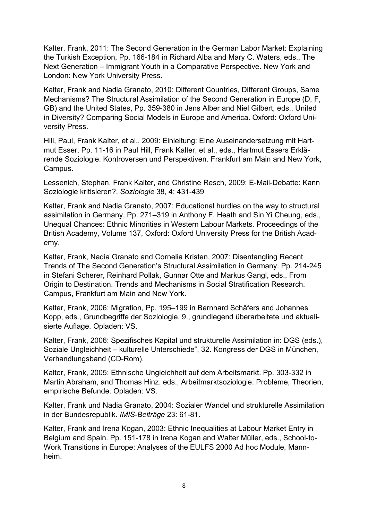Kalter, Frank, 2011: The Second Generation in the German Labor Market: Explaining the Turkish Exception, Pp. 166-184 in Richard Alba and Mary C. Waters, eds., The Next Generation – Immigrant Youth in a Comparative Perspective. New York and London: New York University Press.

Kalter, Frank and Nadia Granato, 2010: Different Countries, Different Groups, Same Mechanisms? The Structural Assimilation of the Second Generation in Europe (D, F, GB) and the United States, Pp. 359-380 in Jens Alber and Niel Gilbert, eds., United in Diversity? Comparing Social Models in Europe and America. Oxford: Oxford University Press.

Hill, Paul, Frank Kalter, et al., 2009: Einleitung: Eine Auseinandersetzung mit Hartmut Esser, Pp. 11-16 in Paul Hill, Frank Kalter, et al., eds., Hartmut Essers Erklärende Soziologie. Kontroversen und Perspektiven. Frankfurt am Main and New York, Campus.

Lessenich, Stephan, Frank Kalter, and Christine Resch, 2009: E-Mail-Debatte: Kann Soziologie kritisieren?, Soziologie 38, 4: 431-439

Kalter, Frank and Nadia Granato, 2007: Educational hurdles on the way to structural assimilation in Germany, Pp. 271–319 in Anthony F. Heath and Sin Yi Cheung, eds., Unequal Chances: Ethnic Minorities in Western Labour Markets. Proceedings of the British Academy, Volume 137, Oxford: Oxford University Press for the British Academy.

Kalter, Frank, Nadia Granato and Cornelia Kristen, 2007: Disentangling Recent Trends of The Second Generation's Structural Assimilation in Germany. Pp. 214-245 in Stefani Scherer, Reinhard Pollak, Gunnar Otte and Markus Gangl, eds., From Origin to Destination. Trends and Mechanisms in Social Stratification Research. Campus, Frankfurt am Main and New York.

Kalter, Frank, 2006: Migration, Pp. 195–199 in Bernhard Schäfers and Johannes Kopp, eds., Grundbegriffe der Soziologie. 9., grundlegend überarbeitete und aktualisierte Auflage. Opladen: VS.

Kalter, Frank, 2006: Spezifisches Kapital und strukturelle Assimilation in: DGS (eds.), Soziale Ungleichheit – kulturelle Unterschiede", 32. Kongress der DGS in München, Verhandlungsband (CD-Rom).

Kalter, Frank, 2005: Ethnische Ungleichheit auf dem Arbeitsmarkt. Pp. 303-332 in Martin Abraham, and Thomas Hinz. eds., Arbeitmarktsoziologie. Probleme, Theorien, empirische Befunde. Opladen: VS.

Kalter, Frank und Nadia Granato, 2004: Sozialer Wandel und strukturelle Assimilation in der Bundesrepublik. IMIS-Beiträge 23: 61-81.

Kalter, Frank and Irena Kogan, 2003: Ethnic Inequalities at Labour Market Entry in Belgium and Spain. Pp. 151-178 in Irena Kogan and Walter Müller, eds., School-to-Work Transitions in Europe: Analyses of the EULFS 2000 Ad hoc Module, Mannheim.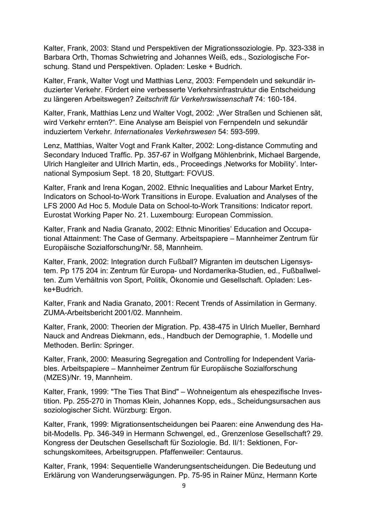Kalter, Frank, 2003: Stand und Perspektiven der Migrationssoziologie. Pp. 323-338 in Barbara Orth, Thomas Schwietring and Johannes Weiß, eds., Soziologische Forschung. Stand und Perspektiven. Opladen: Leske + Budrich.

Kalter, Frank, Walter Vogt und Matthias Lenz, 2003: Fernpendeln und sekundär induzierter Verkehr. Fördert eine verbesserte Verkehrsinfrastruktur die Entscheidung zu längeren Arbeitswegen? Zeitschrift für Verkehrswissenschaft 74: 160-184.

Kalter, Frank, Matthias Lenz und Walter Vogt, 2002: "Wer Straßen und Schienen sät, wird Verkehr ernten?". Eine Analyse am Beispiel von Fernpendeln und sekundär induziertem Verkehr. Internationales Verkehrswesen 54: 593-599.

Lenz, Matthias, Walter Vogt and Frank Kalter, 2002: Long-distance Commuting and Secondary Induced Traffic. Pp. 357-67 in Wolfgang Möhlenbrink, Michael Bargende, Ulrich Hangleiter and Ullrich Martin, eds., Proceedings , Networks for Mobility'. International Symposium Sept. 18 20, Stuttgart: FOVUS.

Kalter, Frank and Irena Kogan, 2002. Ethnic Inequalities and Labour Market Entry, Indicators on School-to-Work Transitions in Europe. Evaluation and Analyses of the LFS 2000 Ad Hoc 5. Module Data on School-to-Work Transitions: Indicator report. Eurostat Working Paper No. 21. Luxembourg: European Commission.

Kalter, Frank and Nadia Granato, 2002: Ethnic Minorities' Education and Occupational Attainment: The Case of Germany. Arbeitspapiere – Mannheimer Zentrum für Europäische Sozialforschung/Nr. 58, Mannheim.

Kalter, Frank, 2002: Integration durch Fußball? Migranten im deutschen Ligensystem. Pp 175 204 in: Zentrum für Europa- und Nordamerika-Studien, ed., Fußballwelten. Zum Verhältnis von Sport, Politik, Ökonomie und Gesellschaft. Opladen: Leske+Budrich.

Kalter, Frank and Nadia Granato, 2001: Recent Trends of Assimilation in Germany. ZUMA-Arbeitsbericht 2001/02. Mannheim.

Kalter, Frank, 2000: Theorien der Migration. Pp. 438-475 in Ulrich Mueller, Bernhard Nauck and Andreas Diekmann, eds., Handbuch der Demographie, 1. Modelle und Methoden. Berlin: Springer.

Kalter, Frank, 2000: Measuring Segregation and Controlling for Independent Variables. Arbeitspapiere – Mannheimer Zentrum für Europäische Sozialforschung (MZES)/Nr. 19, Mannheim.

Kalter, Frank, 1999: "The Ties That Bind" – Wohneigentum als ehespezifische Investition. Pp. 255-270 in Thomas Klein, Johannes Kopp, eds., Scheidungsursachen aus soziologischer Sicht. Würzburg: Ergon.

Kalter, Frank, 1999: Migrationsentscheidungen bei Paaren: eine Anwendung des Habit-Modells. Pp. 346-349 in Hermann Schwengel, ed., Grenzenlose Gesellschaft? 29. Kongress der Deutschen Gesellschaft für Soziologie. Bd. II/1: Sektionen, Forschungskomitees, Arbeitsgruppen. Pfaffenweiler: Centaurus.

Kalter, Frank, 1994: Sequentielle Wanderungsentscheidungen. Die Bedeutung und Erklärung von Wanderungserwägungen. Pp. 75-95 in Rainer Münz, Hermann Korte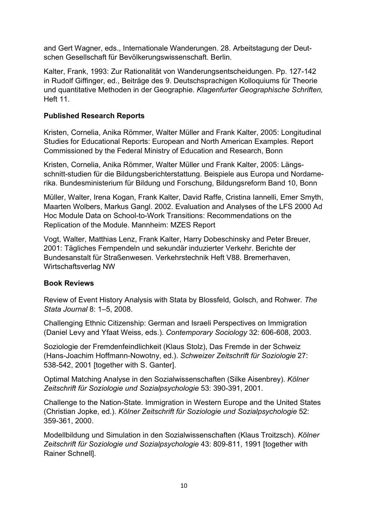and Gert Wagner, eds., Internationale Wanderungen. 28. Arbeitstagung der Deutschen Gesellschaft für Bevölkerungswissenschaft. Berlin.

Kalter, Frank, 1993: Zur Rationalität von Wanderungsentscheidungen. Pp. 127-142 in Rudolf Giffinger, ed., Beiträge des 9. Deutschsprachigen Kolloquiums für Theorie und quantitative Methoden in der Geographie. Klagenfurter Geographische Schriften, Heft 11.

# Published Research Reports

Kristen, Cornelia, Anika Römmer, Walter Müller and Frank Kalter, 2005: Longitudinal Studies for Educational Reports: European and North American Examples. Report Commissioned by the Federal Ministry of Education and Research, Bonn

Kristen, Cornelia, Anika Römmer, Walter Müller und Frank Kalter, 2005: Längsschnitt-studien für die Bildungsberichterstattung. Beispiele aus Europa und Nordamerika. Bundesministerium für Bildung und Forschung, Bildungsreform Band 10, Bonn

Müller, Walter, Irena Kogan, Frank Kalter, David Raffe, Cristina Iannelli, Emer Smyth, Maarten Wolbers, Markus Gangl. 2002. Evaluation and Analyses of the LFS 2000 Ad Hoc Module Data on School-to-Work Transitions: Recommendations on the Replication of the Module. Mannheim: MZES Report

Vogt, Walter, Matthias Lenz, Frank Kalter, Harry Dobeschinsky and Peter Breuer, 2001: Tägliches Fernpendeln und sekundär induzierter Verkehr. Berichte der Bundesanstalt für Straßenwesen. Verkehrstechnik Heft V88. Bremerhaven, Wirtschaftsverlag NW

## Book Reviews

Review of Event History Analysis with Stata by Blossfeld, Golsch, and Rohwer. The Stata Journal 8: 1–5, 2008.

Challenging Ethnic Citizenship: German and Israeli Perspectives on Immigration (Daniel Levy and Yfaat Weiss, eds.). Contemporary Sociology 32: 606-608, 2003.

Soziologie der Fremdenfeindlichkeit (Klaus Stolz), Das Fremde in der Schweiz (Hans-Joachim Hoffmann-Nowotny, ed.). Schweizer Zeitschrift für Soziologie 27: 538-542, 2001 [together with S. Ganter].

Optimal Matching Analyse in den Sozialwissenschaften (Silke Aisenbrey). Kölner Zeitschrift für Soziologie und Sozialpsychologie 53: 390-391, 2001.

Challenge to the Nation-State. Immigration in Western Europe and the United States (Christian Jopke, ed.). Kölner Zeitschrift für Soziologie und Sozialpsychologie 52: 359-361, 2000.

Modellbildung und Simulation in den Sozialwissenschaften (Klaus Troitzsch). Kölner Zeitschrift für Soziologie und Sozialpsychologie 43: 809-811, 1991 [together with Rainer Schnell].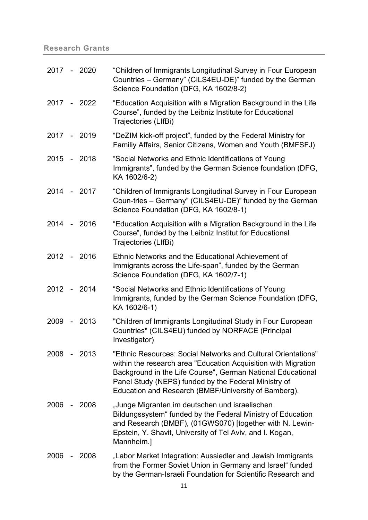# Research Grants

| 2017 - 2020 |                              |             | "Children of Immigrants Longitudinal Survey in Four European<br>Countries - Germany" (CILS4EU-DE)" funded by the German<br>Science Foundation (DFG, KA 1602/8-2)                                                                                                                                               |
|-------------|------------------------------|-------------|----------------------------------------------------------------------------------------------------------------------------------------------------------------------------------------------------------------------------------------------------------------------------------------------------------------|
|             |                              | 2017 - 2022 | "Education Acquisition with a Migration Background in the Life<br>Course", funded by the Leibniz Institute for Educational<br>Trajectories (LIfBi)                                                                                                                                                             |
| 2017 - 2019 |                              |             | "DeZIM kick-off project", funded by the Federal Ministry for<br>Familiy Affairs, Senior Citizens, Women and Youth (BMFSFJ)                                                                                                                                                                                     |
| 2015 - 2018 |                              |             | "Social Networks and Ethnic Identifications of Young<br>Immigrants", funded by the German Science foundation (DFG,<br>KA 1602/6-2)                                                                                                                                                                             |
| 2014 - 2017 |                              |             | "Children of Immigrants Longitudinal Survey in Four European<br>Coun-tries - Germany" (CILS4EU-DE)" funded by the German<br>Science Foundation (DFG, KA 1602/8-1)                                                                                                                                              |
| 2014 - 2016 |                              |             | "Education Acquisition with a Migration Background in the Life<br>Course", funded by the Leibniz Institut for Educational<br>Trajectories (LIfBi)                                                                                                                                                              |
| 2012 - 2016 |                              |             | Ethnic Networks and the Educational Achievement of<br>Immigrants across the Life-span", funded by the German<br>Science Foundation (DFG, KA 1602/7-1)                                                                                                                                                          |
| 2012 - 2014 |                              |             | "Social Networks and Ethnic Identifications of Young<br>Immigrants, funded by the German Science Foundation (DFG,<br>KA 1602/6-1)                                                                                                                                                                              |
| 2009 - 2013 |                              |             | "Children of Immigrants Longitudinal Study in Four European<br>Countries" (CILS4EU) funded by NORFACE (Principal<br>Investigator)                                                                                                                                                                              |
| 2008        |                              | $-2013$     | "Ethnic Resources: Social Networks and Cultural Orientations"<br>within the research area "Education Acquisition with Migration<br>Background in the Life Course", German National Educational<br>Panel Study (NEPS) funded by the Federal Ministry of<br>Education and Research (BMBF/University of Bamberg). |
| 2006        | $\qquad \qquad \blacksquare$ | 2008        | "Junge Migranten im deutschen und israelischen<br>Bildungssystem" funded by the Federal Ministry of Education<br>and Research (BMBF), (01GWS070) [together with N. Lewin-<br>Epstein, Y. Shavit, University of Tel Aviv, and I. Kogan,<br>Mannheim.]                                                           |
| 2006        |                              | 2008        | "Labor Market Integration: Aussiedler and Jewish Immigrants<br>from the Former Soviet Union in Germany and Israel" funded<br>by the German-Israeli Foundation for Scientific Research and                                                                                                                      |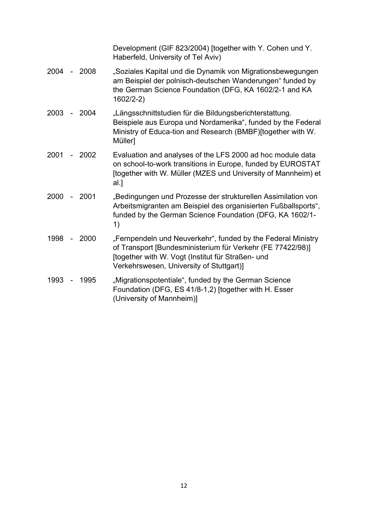Development (GIF 823/2004) [together with Y. Cohen und Y. Haberfeld, University of Tel Aviv)

- 2004 2008 "Soziales Kapital und die Dynamik von Migrationsbewegungen am Beispiel der polnisch-deutschen Wanderungen" funded by the German Science Foundation (DFG, KA 1602/2-1 and KA 1602/2-2)
- 2003 2004 "Längsschnittstudien für die Bildungsberichterstattung. Beispiele aus Europa und Nordamerika", funded by the Federal Ministry of Educa-tion and Research (BMBF)[together with W. Müller]
- 2001 2002 Evaluation and analyses of the LFS 2000 ad hoc module data on school-to-work transitions in Europe, funded by EUROSTAT [together with W. Müller (MZES und University of Mannheim) et al.]
- 2000 2001 "Bedingungen und Prozesse der strukturellen Assimilation von Arbeitsmigranten am Beispiel des organisierten Fußballsports", funded by the German Science Foundation (DFG, KA 1602/1- 1)
- 1998 2000 "Fernpendeln und Neuverkehr", funded by the Federal Ministry of Transport [Bundesministerium für Verkehr (FE 77422/98)] [together with W. Vogt (Institut für Straßen- und Verkehrswesen, University of Stuttgart)]
- 1993 1995 "Migrationspotentiale", funded by the German Science Foundation (DFG, ES 41/8-1,2) [together with H. Esser (University of Mannheim)]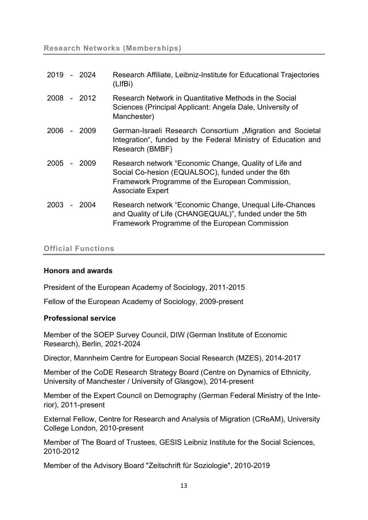| 2019        | - 2024 | Research Affiliate, Leibniz-Institute for Educational Trajectories<br>(LIfBi)                                                                                                             |
|-------------|--------|-------------------------------------------------------------------------------------------------------------------------------------------------------------------------------------------|
| 2008 - 2012 |        | Research Network in Quantitative Methods in the Social<br>Sciences (Principal Applicant: Angela Dale, University of<br>Manchester)                                                        |
| 2006        | -2009  | German-Israeli Research Consortium "Migration and Societal<br>Integration", funded by the Federal Ministry of Education and<br>Research (BMBF)                                            |
| 2005        | - 2009 | Research network "Economic Change, Quality of Life and<br>Social Co-hesion (EQUALSOC), funded under the 6th<br>Framework Programme of the European Commission,<br><b>Associate Expert</b> |
| 2003        | -2004  | Research network "Economic Change, Unequal Life-Chances<br>and Quality of Life (CHANGEQUAL)", funded under the 5th<br>Framework Programme of the European Commission                      |

## Official Functions

#### Honors and awards

President of the European Academy of Sociology, 2011-2015

Fellow of the European Academy of Sociology, 2009-present

#### Professional service

Member of the SOEP Survey Council, DIW (German Institute of Economic Research), Berlin, 2021-2024

Director, Mannheim Centre for European Social Research (MZES), 2014-2017

Member of the CoDE Research Strategy Board (Centre on Dynamics of Ethnicity, University of Manchester / University of Glasgow), 2014-present

Member of the Expert Council on Demography (German Federal Ministry of the Interior), 2011-present

External Fellow, Centre for Research and Analysis of Migration (CReAM), University College London, 2010-present

Member of The Board of Trustees, GESIS Leibniz Institute for the Social Sciences, 2010-2012

Member of the Advisory Board "Zeitschrift für Soziologie", 2010-2019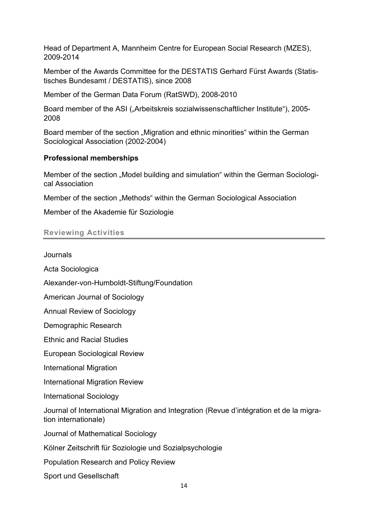Head of Department A, Mannheim Centre for European Social Research (MZES), 2009-2014

Member of the Awards Committee for the DESTATIS Gerhard Fürst Awards (Statistisches Bundesamt / DESTATIS), since 2008

Member of the German Data Forum (RatSWD), 2008-2010

Board member of the ASI ("Arbeitskreis sozialwissenschaftlicher Institute"), 2005-2008

Board member of the section ..Migration and ethnic minorities" within the German Sociological Association (2002-2004)

## Professional memberships

Member of the section "Model building and simulation" within the German Sociological Association

Member of the section "Methods" within the German Sociological Association

Member of the Akademie für Soziologie

## Reviewing Activities

Journals

Acta Sociologica

Alexander-von-Humboldt-Stiftung/Foundation

American Journal of Sociology

Annual Review of Sociology

Demographic Research

Ethnic and Racial Studies

European Sociological Review

International Migration

International Migration Review

International Sociology

Journal of International Migration and Integration (Revue d'intégration et de la migration internationale)

Journal of Mathematical Sociology

Kölner Zeitschrift für Soziologie und Sozialpsychologie

Population Research and Policy Review

Sport und Gesellschaft